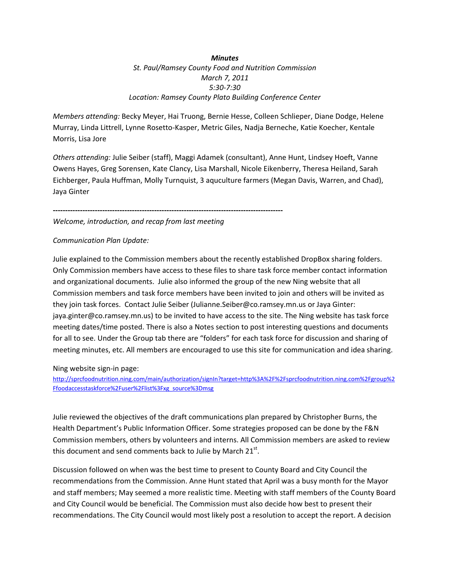# *Minutes St. Paul/Ramsey County Food and Nutrition Commission March 7, 2011 5:30‐7:30 Location: Ramsey County Plato Building Conference Center*

*Members attending:* Becky Meyer, Hai Truong, Bernie Hesse, Colleen Schlieper, Diane Dodge, Helene Murray, Linda Littrell, Lynne Rosetto‐Kasper, Metric Giles, Nadja Berneche, Katie Koecher, Kentale Morris, Lisa Jore

*Others attending:* Julie Seiber (staff), Maggi Adamek (consultant), Anne Hunt, Lindsey Hoeft, Vanne Owens Hayes, Greg Sorensen, Kate Clancy, Lisa Marshall, Nicole Eikenberry, Theresa Heiland, Sarah Eichberger, Paula Huffman, Molly Turnquist, 3 aquculture farmers (Megan Davis, Warren, and Chad), Jaya Ginter

**‐‐‐‐‐‐‐‐‐‐‐‐‐‐‐‐‐‐‐‐‐‐‐‐‐‐‐‐‐‐‐‐‐‐‐‐‐‐‐‐‐‐‐‐‐‐‐‐‐‐‐‐‐‐‐‐‐‐‐‐‐‐‐‐‐‐‐‐‐‐‐‐‐‐‐‐‐‐‐‐‐‐‐‐‐‐‐‐‐‐‐‐‐** 

*Welcome, introduction, and recap from last meeting*

#### *Communication Plan Update:*

Julie explained to the Commission members about the recently established DropBox sharing folders. Only Commission members have access to these files to share task force member contact information and organizational documents. Julie also informed the group of the new Ning website that all Commission members and task force members have been invited to join and others will be invited as they join task forces. Contact Julie Seiber (Julianne.Seiber@co.ramsey.mn.us or Jaya Ginter: jaya.ginter@co.ramsey.mn.us) to be invited to have access to the site. The Ning website has task force meeting dates/time posted. There is also a Notes section to post interesting questions and documents for all to see. Under the Group tab there are "folders" for each task force for discussion and sharing of meeting minutes, etc. All members are encouraged to use this site for communication and idea sharing.

Ning website sign‐in page:

http://sprcfoodnutrition.ning.com/main/authorization/signIn?target=http%3A%2F%2Fsprcfoodnutrition.ning.com%2Fgroup%2 Ffoodaccesstaskforce%2Fuser%2Flist%3Fxg\_source%3Dmsg

Julie reviewed the objectives of the draft communications plan prepared by Christopher Burns, the Health Department's Public Information Officer. Some strategies proposed can be done by the F&N Commission members, others by volunteers and interns. All Commission members are asked to review this document and send comments back to Julie by March  $21^{st}$ .

Discussion followed on when was the best time to present to County Board and City Council the recommendations from the Commission. Anne Hunt stated that April was a busy month for the Mayor and staff members; May seemed a more realistic time. Meeting with staff members of the County Board and City Council would be beneficial. The Commission must also decide how best to present their recommendations. The City Council would most likely post a resolution to accept the report. A decision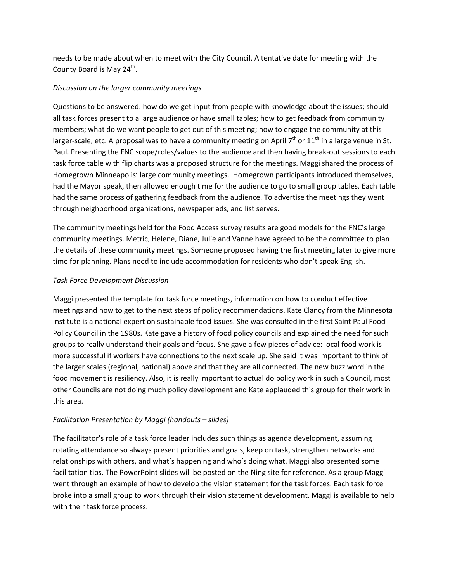needs to be made about when to meet with the City Council. A tentative date for meeting with the County Board is May 24<sup>th</sup>.

### *Discussion on the larger community meetings*

Questions to be answered: how do we get input from people with knowledge about the issues; should all task forces present to a large audience or have small tables; how to get feedback from community members; what do we want people to get out of this meeting; how to engage the community at this larger-scale, etc. A proposal was to have a community meeting on April  $7<sup>th</sup>$  or  $11<sup>th</sup>$  in a large venue in St. Paul. Presenting the FNC scope/roles/values to the audience and then having break‐out sessions to each task force table with flip charts was a proposed structure for the meetings. Maggi shared the process of Homegrown Minneapolis' large community meetings. Homegrown participants introduced themselves, had the Mayor speak, then allowed enough time for the audience to go to small group tables. Each table had the same process of gathering feedback from the audience. To advertise the meetings they went through neighborhood organizations, newspaper ads, and list serves.

The community meetings held for the Food Access survey results are good models for the FNC's large community meetings. Metric, Helene, Diane, Julie and Vanne have agreed to be the committee to plan the details of these community meetings. Someone proposed having the first meeting later to give more time for planning. Plans need to include accommodation for residents who don't speak English.

# *Task Force Development Discussion*

Maggi presented the template for task force meetings, information on how to conduct effective meetings and how to get to the next steps of policy recommendations. Kate Clancy from the Minnesota Institute is a national expert on sustainable food issues. She was consulted in the first Saint Paul Food Policy Council in the 1980s. Kate gave a history of food policy councils and explained the need for such groups to really understand their goals and focus. She gave a few pieces of advice: local food work is more successful if workers have connections to the next scale up. She said it was important to think of the larger scales (regional, national) above and that they are all connected. The new buzz word in the food movement is resiliency. Also, it is really important to actual do policy work in such a Council, most other Councils are not doing much policy development and Kate applauded this group for their work in this area.

# *Facilitation Presentation by Maggi (handouts – slides)*

The facilitator's role of a task force leader includes such things as agenda development, assuming rotating attendance so always present priorities and goals, keep on task, strengthen networks and relationships with others, and what's happening and who's doing what. Maggi also presented some facilitation tips. The PowerPoint slides will be posted on the Ning site for reference. As a group Maggi went through an example of how to develop the vision statement for the task forces. Each task force broke into a small group to work through their vision statement development. Maggi is available to help with their task force process.